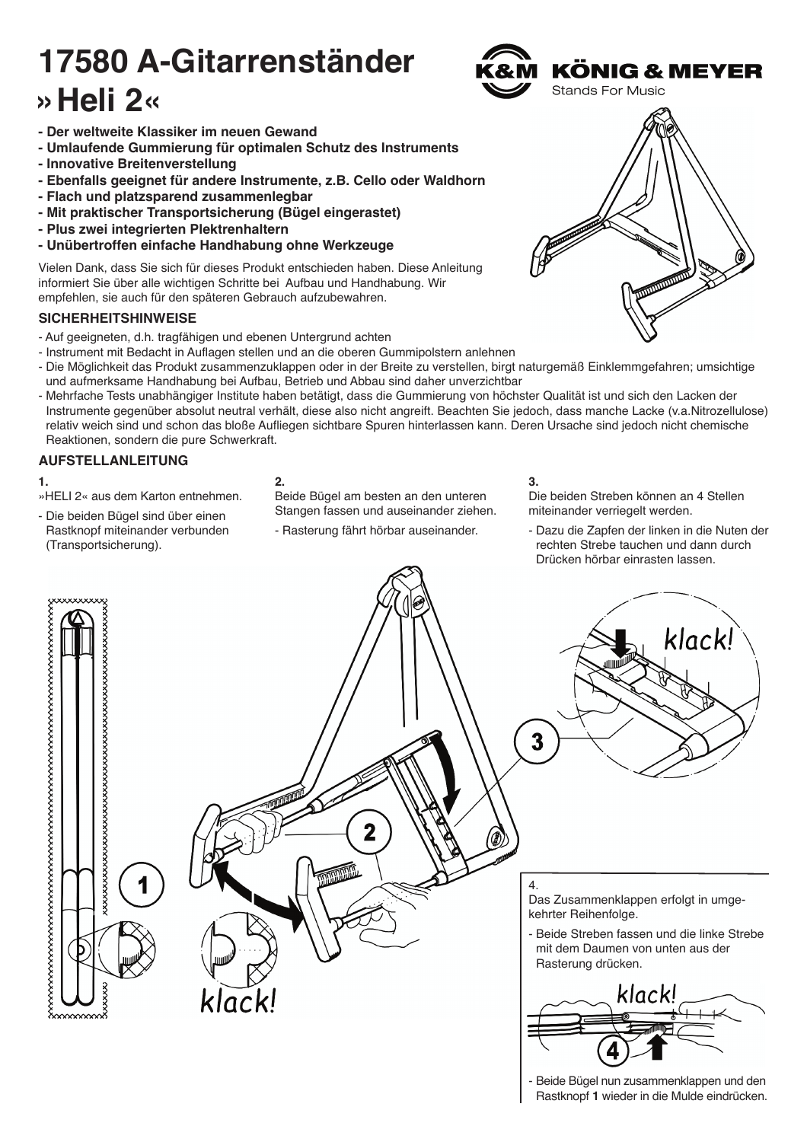# **17580 A-Gitarrenständer »Heli 2«**



- **Umlaufende Gummierung für optimalen Schutz des Instruments**
- **Innovative Breitenverstellung**
- **Ebenfalls geeignet für andere Instrumente, z.B. Cello oder Waldhorn**
- **Flach und platzsparend zusammenlegbar**
- **Mit praktischer Transportsicherung (Bügel eingerastet)**
- **Plus zwei integrierten Plektrenhaltern**
- **Unübertroffen einfache Handhabung ohne Werkzeuge**

Vielen Dank, dass Sie sich für dieses Produkt entschieden haben. Diese Anleitung informiert Sie über alle wichtigen Schritte bei Aufbau und Handhabung. Wir empfehlen, sie auch für den späteren Gebrauch aufzubewahren.

### **SICHERHEITSHINWEISE**

- Auf geeigneten, d.h. tragfähigen und ebenen Untergrund achten
- Instrument mit Bedacht in Auflagen stellen und an die oberen Gummipolstern anlehnen
- Die Möglichkeit das Produkt zusammenzuklappen oder in der Breite zu verstellen, birgt naturgemäß Einklemmgefahren; umsichtige und aufmerksame Handhabung bei Aufbau, Betrieb und Abbau sind daher unverzichtbar
- Mehrfache Tests unabhängiger Institute haben betätigt, dass die Gummierung von höchster Qualität ist und sich den Lacken der - Instrumente gegenüber absolut neutral verhält, diese also nicht angreift. Beachten Sie jedoch, dass manche Lacke (v.a.Nitrozellulose) - relativ weich sind und schon das bloße Aufliegen sichtbare Spuren hinterlassen kann. Deren Ursache sind jedoch nicht chemische Reaktionen, sondern die pure Schwerkraft.

### **AUFSTELLANLEITUNG**

### **1.**

- »HELI 2« aus dem Karton entnehmen.
- Die beiden Bügel sind über einen Rastknopf miteinander verbunden - (Transportsicherung).

### **2.**

Beide Bügel am besten an den unteren Stangen fassen und auseinander ziehen.

- Rasterung fährt hörbar auseinander.

### **3.**

Die beiden Streben können an 4 Stellen miteinander verriegelt werden.

- Dazu die Zapfen der linken in die Nuten der rechten Strebe tauchen und dann durch - Drücken hörbar einrasten lassen.





## KÖNIG & MEYER **Stands For Music**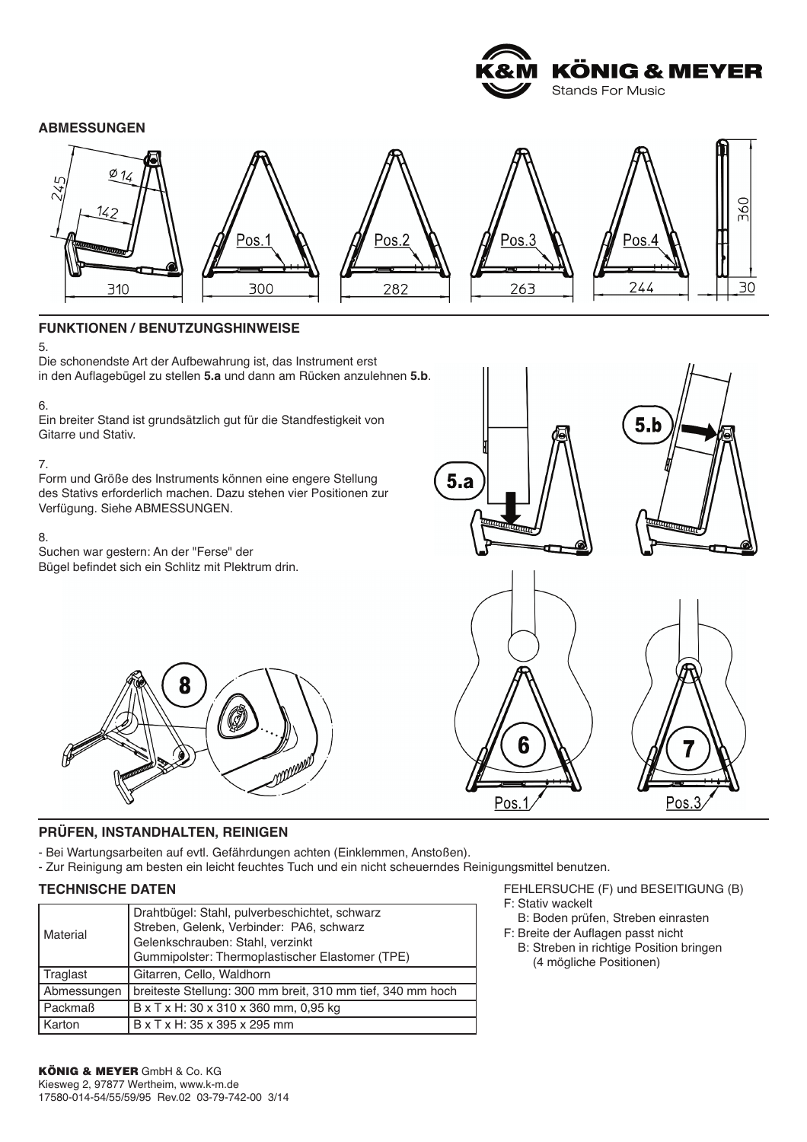

### **ABMESSUNGEN**



### **FUNKTIONEN / BENUTZUNGSHINWEISE**

5.

Die schonendste Art der Aufbewahrung ist, das Instrument erst in den Auflagebügel zu stellen **5.a** und dann am Rücken anzulehnen **5.b**.

#### 6.

Ein breiter Stand ist grundsätzlich gut für die Standfestigkeit von Gitarre und Stativ.

### 7.

Form und Größe des Instruments können eine engere Stellung des Stativs erforderlich machen. Dazu stehen vier Positionen zur Verfügung. Siehe ABMESSUNGEN.

#### 8.

Suchen war gestern: An der "Ferse" der Bügel befindet sich ein Schlitz mit Plektrum drin.





Pos.

### **PRÜFEN, INSTANDHALTEN, REINIGEN**

- Bei Wartungsarbeiten auf evtl. Gefährdungen achten (Einklemmen, Anstoßen).
- Zur Reinigung am besten ein leicht feuchtes Tuch und ein nicht scheuerndes Reinigungsmittel benutzen.

### **TECHNISCHE DATEN**

| Material    | Drahtbügel: Stahl, pulverbeschichtet, schwarz<br>Streben, Gelenk, Verbinder: PA6, schwarz<br>Gelenkschrauben: Stahl, verzinkt<br>Gummipolster: Thermoplastischer Elastomer (TPE) |
|-------------|----------------------------------------------------------------------------------------------------------------------------------------------------------------------------------|
| Traglast    | Gitarren, Cello, Waldhorn                                                                                                                                                        |
| Abmessungen | breiteste Stellung: 300 mm breit, 310 mm tief, 340 mm hoch                                                                                                                       |
| Packmaß     | B x T x H: 30 x 310 x 360 mm, 0,95 kg                                                                                                                                            |
| Karton      | B x T x H: 35 x 395 x 295 mm                                                                                                                                                     |

FEHLERSUCHE (F) und BESEITIGUNG (B) F: Stativ wackelt

Pos.3

- F: B: Boden prüfen, Streben einrasten F: Breite der Auflagen passt nicht
- B: Streben in richtige Position bringen (4 mögliche Positionen)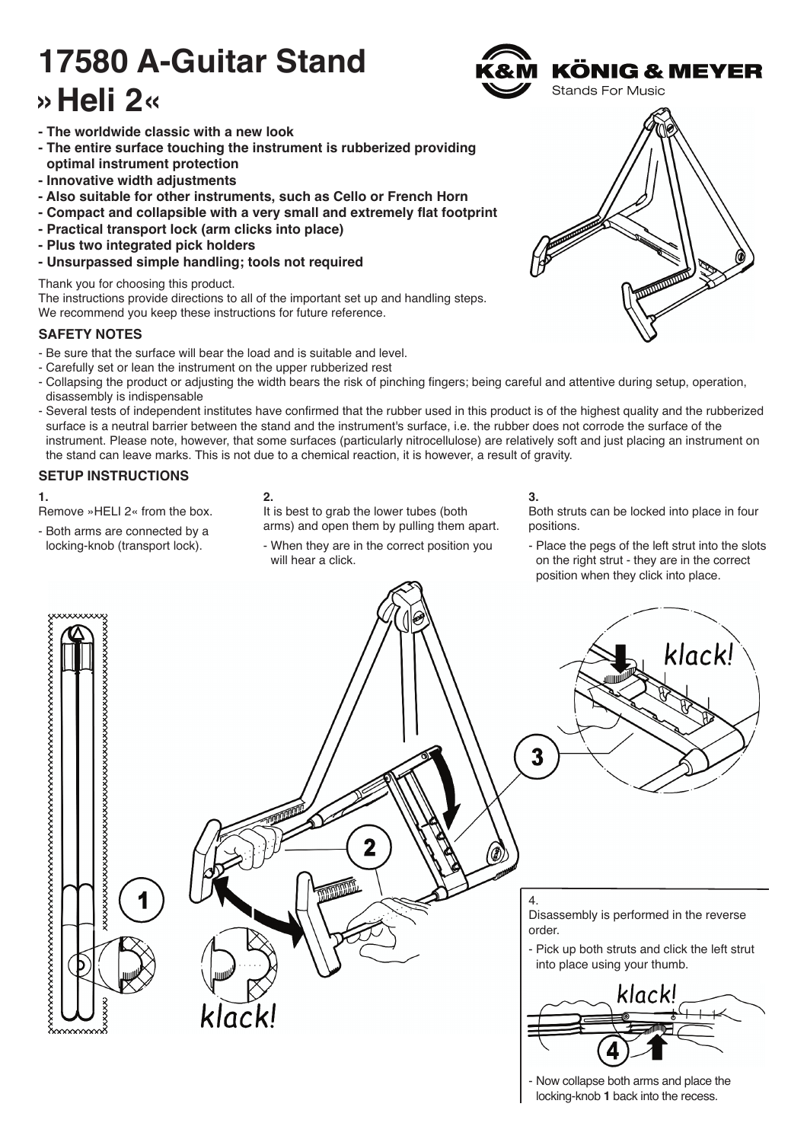# **17580 A-Guitar Stand »Heli 2«**



- **The worldwide classic with a new look**
- **The entire surface touching the instrument is rubberized providing - optimal instrument protection**
- **Innovative width adjustments**
- **Also suitable for other instruments, such as Cello or French Horn**
- **Compact and collapsible with a very small and extremely flat footprint**
- **Practical transport lock (arm clicks into place)**
- **Plus two integrated pick holders**
- **Unsurpassed simple handling; tools not required**

Thank you for choosing this product.

The instructions provide directions to all of the important set up and handling steps. We recommend you keep these instructions for future reference.

### **SAFETY NOTES**

- Be sure that the surface will bear the load and is suitable and level.
- Carefully set or lean the instrument on the upper rubberized rest
- Collapsing the product or adjusting the width bears the risk of pinching fingers; being careful and attentive during setup, operation, disassembly is indispensable
- Several tests of independent institutes have confirmed that the rubber used in this product is of the highest quality and the rubberized surface is a neutral barrier between the stand and the instrument's surface, i.e. the rubber does not corrode the surface of the instrument. Please note, however, that some surfaces (particularly nitrocellulose) are relatively soft and just placing an instrument on the stand can leave marks. This is not due to a chemical reaction, it is however, a result of gravity.

### **SETUP INSTRUCTIONS**

**1.**

- Remove »HELI 2« from the box.
- Both arms are connected by a locking-knob (transport lock).

### **2.**

It is best to grab the lower tubes (both arms) and open them by pulling them apart.

- When they are in the correct position you will hear a click.

### **3.**

Both struts can be locked into place in four positions.

- Place the pegs of the left strut into the slots on the right strut - they are in the correct position when they click into place.